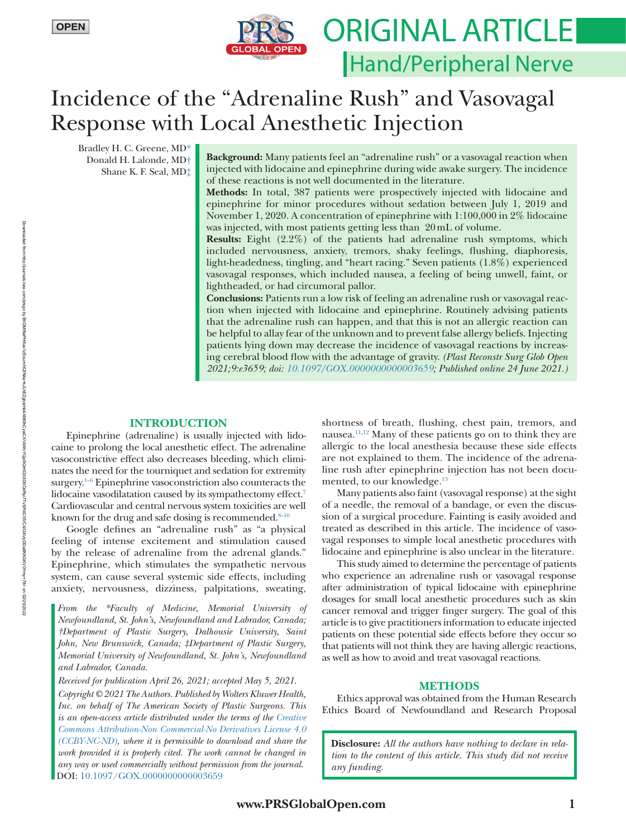

# Incidence of the "Adrenaline Rush" and Vasovagal Response with Local Anesthetic Injection

Bradley H. C. Greene, MD\* Donald H. Lalonde, MD† Shane K. F. Seal, MD‡

**Background:** Many patients feel an "adrenaline rush" or a vasovagal reaction when injected with lidocaine and epinephrine during wide awake surgery. The incidence of these reactions is not well documented in the literature.

**Methods:** In total, 387 patients were prospectively injected with lidocaine and epinephrine for minor procedures without sedation between July 1, 2019 and November 1, 2020. A concentration of epinephrine with 1:100,000 in 2% lidocaine was injected, with most patients getting less than 20mL of volume.

**Results:** Eight (2.2%) of the patients had adrenaline rush symptoms, which included nervousness, anxiety, tremors, shaky feelings, flushing, diaphoresis, light-headedness, tingling, and "heart racing." Seven patients (1.8%) experienced vasovagal responses, which included nausea, a feeling of being unwell, faint, or lightheaded, or had circumoral pallor.

**Conclusions:** Patients run a low risk of feeling an adrenaline rush or vasovagal reaction when injected with lidocaine and epinephrine. Routinely advising patients that the adrenaline rush can happen, and that this is not an allergic reaction can be helpful to allay fear of the unknown and to prevent false allergy beliefs. Injecting patients lying down may decrease the incidence of vasovagal reactions by increasing cerebral blood flow with the advantage of gravity. *(Plast Reconstr Surg Glob Open 2021;9:e3659; doi: [10.1097/GOX.0000000000003659;](https://doi.org/10.1097/GOX.0000000000003659) Published online 24 June 2021.)*

## **INTRODUCTION**

Epinephrine (adrenaline) is usually injected with lidocaine to prolong the local anesthetic effect. The adrenaline vasoconstrictive effect also decreases bleeding, which eliminates the need for the tourniquet and sedation for extremity surgery. $1-6$  Epinephrine vasoconstriction also counteracts the lidocaine vasodilatation caused by its sympathectomy effect.7 Cardiovascular and central nervous system toxicities are well known for the drug and safe dosing is recommended. $8-10$ 

Google defines an "adrenaline rush" as "a physical feeling of intense excitement and stimulation caused by the release of adrenaline from the adrenal glands." Epinephrine, which stimulates the sympathetic nervous system, can cause several systemic side effects, including anxiety, nervousness, dizziness, palpitations, sweating,

*From the \*Faculty of Medicine, Memorial University of Newfoundland, St. John's, Newfoundland and Labrador, Canada; †Department of Plastic Surgery, Dalhousie University, Saint John, New Brunswick, Canada; ‡Department of Plastic Surgery, Memorial University of Newfoundland, St. John's, Newfoundland and Labrador, Canada.*

*Received for publication April 26, 2021; accepted May 5, 2021.*

*Copyright © 2021 The Authors. Published by Wolters Kluwer Health, Inc. on behalf of The American Society of Plastic Surgeons. This is an open-access article distributed under the terms of the [Creative](http://creativecommons.org/licenses/by-nc-nd/4.0/)  [Commons Attribution-Non Commercial-No Derivatives License 4.0](http://creativecommons.org/licenses/by-nc-nd/4.0/)  [\(CCBY-NC-ND\)](http://creativecommons.org/licenses/by-nc-nd/4.0/), where it is permissible to download and share the work provided it is properly cited. The work cannot be changed in any way or used commercially without permission from the journal.* DOI: [10.1097/GOX.0000000000003659](https://doi.org/10.1097/GOX.0000000000003659)

shortness of breath, flushing, chest pain, tremors, and nausea.11,12 Many of these patients go on to think they are allergic to the local anesthesia because these side effects are not explained to them. The incidence of the adrenaline rush after epinephrine injection has not been documented, to our knowledge.<sup>13</sup>

Many patients also faint (vasovagal response) at the sight of a needle, the removal of a bandage, or even the discussion of a surgical procedure. Fainting is easily avoided and treated as described in this article. The incidence of vasovagal responses to simple local anesthetic procedures with lidocaine and epinephrine is also unclear in the literature.

This study aimed to determine the percentage of patients who experience an adrenaline rush or vasovagal response after administration of typical lidocaine with epinephrine dosages for small local anesthetic procedures such as skin cancer removal and trigger finger surgery. The goal of this article is to give practitioners information to educate injected patients on these potential side effects before they occur so that patients will not think they are having allergic reactions, as well as how to avoid and treat vasovagal reactions.

## **METHODS**

Ethics approval was obtained from the Human Research Ethics Board of Newfoundland and Research Proposal

**Disclosure:** *All the authors have nothing to declare in relation to the content of this article. This study did not receive any funding.*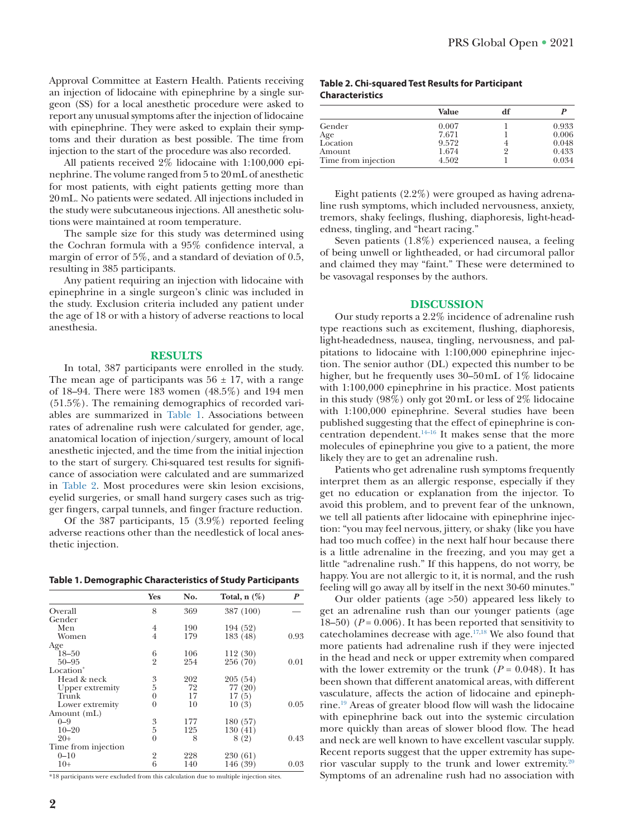Approval Committee at Eastern Health. Patients receiving an injection of lidocaine with epinephrine by a single surgeon (SS) for a local anesthetic procedure were asked to report any unusual symptoms after the injection of lidocaine with epinephrine. They were asked to explain their symptoms and their duration as best possible. The time from injection to the start of the procedure was also recorded.

All patients received 2% lidocaine with 1:100,000 epinephrine. The volume ranged from 5 to 20mL of anesthetic for most patients, with eight patients getting more than 20mL. No patients were sedated. All injections included in the study were subcutaneous injections. All anesthetic solutions were maintained at room temperature.

The sample size for this study was determined using the Cochran formula with a 95% confidence interval, a margin of error of 5%, and a standard of deviation of 0.5, resulting in 385 participants.

Any patient requiring an injection with lidocaine with epinephrine in a single surgeon's clinic was included in the study. Exclusion criteria included any patient under the age of 18 or with a history of adverse reactions to local anesthesia.

#### **RESULTS**

In total, 387 participants were enrolled in the study. The mean age of participants was  $56 \pm 17$ , with a range of 18–94. There were 183 women (48.5%) and 194 men (51.5%). The remaining demographics of recorded variables are summarized in Table 1. Associations between rates of adrenaline rush were calculated for gender, age, anatomical location of injection/surgery, amount of local anesthetic injected, and the time from the initial injection to the start of surgery. Chi-squared test results for significance of association were calculated and are summarized in Table 2. Most procedures were skin lesion excisions, eyelid surgeries, or small hand surgery cases such as trigger fingers, carpal tunnels, and finger fracture reduction.

Of the 387 participants, 15 (3.9%) reported feeling adverse reactions other than the needlestick of local anesthetic injection.

**Table 1. Demographic Characteristics of Study Participants**

|                       | Yes            | No. | Total, $n$ $(\%)$ | P    |
|-----------------------|----------------|-----|-------------------|------|
| Overall               | 8              | 369 | 387 (100)         |      |
| Gender                |                |     |                   |      |
| Men                   | 4              | 190 | 194 (52)          |      |
| Women                 | $\overline{4}$ | 179 | 183 (48)          | 0.93 |
| Age                   |                |     |                   |      |
| $18 - 50$             | 6              | 106 | 112(30)           |      |
| $50 - 95$             | $\overline{2}$ | 254 | 256 (70)          | 0.01 |
| Location <sup>*</sup> |                |     |                   |      |
| Head & neck           | 3              | 202 | 205 (54)          |      |
| Upper extremity       | 5              | 72  | 77 (20)           |      |
| Trunk                 | 0              | 17  | 17(5)             |      |
| Lower extremity       | 0              | 10  | 10(3)             | 0.05 |
| Amount (mL)           |                |     |                   |      |
| $0 - 9$               | 3              | 177 | 180 (57)          |      |
| $10 - 20$             | 5              | 125 | 130(41)           |      |
| $20+$                 | $\theta$       | 8   | 8(2)              | 0.43 |
| Time from injection   |                |     |                   |      |
| $0 - 10$              |                | 228 | 230 (61)          |      |
| $10+$                 | $\frac{2}{6}$  | 140 | 146 (39)          | 0.03 |

\*18 participants were excluded from this calculation due to multiple injection sites.

#### **Table 2. Chi-squared Test Results for Participant Characteristics**

|                     | Value | df |       |
|---------------------|-------|----|-------|
| Gender              | 0.007 |    | 0.933 |
|                     | 7.671 |    | 0.006 |
| Age<br>Location     | 9.572 |    | 0.048 |
| Amount              | 1.674 |    | 0.433 |
| Time from injection | 4.502 |    | 0.034 |

Eight patients (2.2%) were grouped as having adrenaline rush symptoms, which included nervousness, anxiety, tremors, shaky feelings, flushing, diaphoresis, light-headedness, tingling, and "heart racing."

Seven patients (1.8%) experienced nausea, a feeling of being unwell or lightheaded, or had circumoral pallor and claimed they may "faint." These were determined to be vasovagal responses by the authors.

#### **DISCUSSION**

Our study reports a 2.2% incidence of adrenaline rush type reactions such as excitement, flushing, diaphoresis, light-headedness, nausea, tingling, nervousness, and palpitations to lidocaine with 1:100,000 epinephrine injection. The senior author (DL) expected this number to be higher, but he frequently uses 30–50mL of 1% lidocaine with 1:100,000 epinephrine in his practice. Most patients in this study (98%) only got 20mL or less of 2% lidocaine with 1:100,000 epinephrine. Several studies have been published suggesting that the effect of epinephrine is concentration dependent.14–16 It makes sense that the more molecules of epinephrine you give to a patient, the more likely they are to get an adrenaline rush.

Patients who get adrenaline rush symptoms frequently interpret them as an allergic response, especially if they get no education or explanation from the injector. To avoid this problem, and to prevent fear of the unknown, we tell all patients after lidocaine with epinephrine injection: "you may feel nervous, jittery, or shaky (like you have had too much coffee) in the next half hour because there is a little adrenaline in the freezing, and you may get a little "adrenaline rush." If this happens, do not worry, be happy. You are not allergic to it, it is normal, and the rush feeling will go away all by itself in the next 30-60 minutes."

Our older patients (age >50) appeared less likely to get an adrenaline rush than our younger patients (age 18–50)  $(P = 0.006)$ . It has been reported that sensitivity to catecholamines decrease with age. $17,18$  We also found that more patients had adrenaline rush if they were injected in the head and neck or upper extremity when compared with the lower extremity or the trunk  $(P = 0.048)$ . It has been shown that different anatomical areas, with different vasculature, affects the action of lidocaine and epinephrine.19 Areas of greater blood flow will wash the lidocaine with epinephrine back out into the systemic circulation more quickly than areas of slower blood flow. The head and neck are well known to have excellent vascular supply. Recent reports suggest that the upper extremity has superior vascular supply to the trunk and lower extremity.20 Symptoms of an adrenaline rush had no association with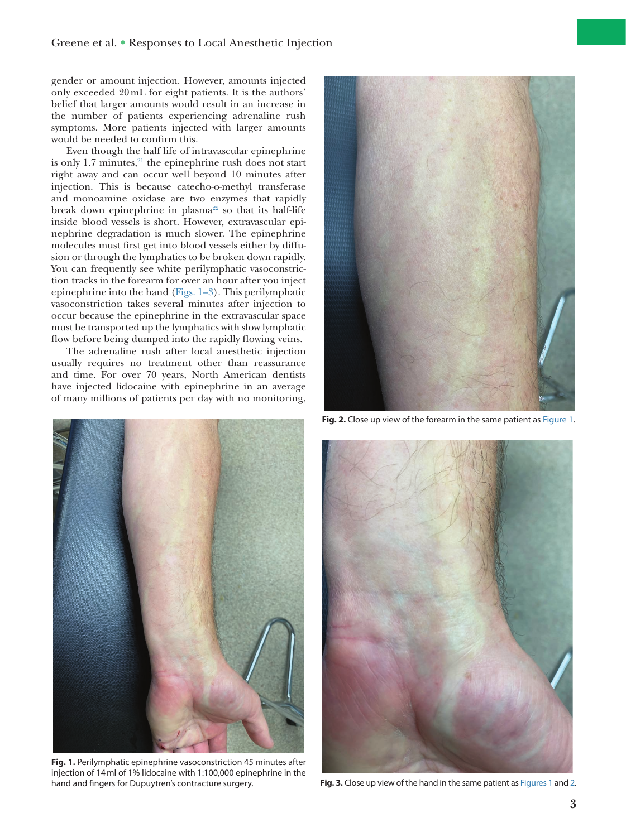gender or amount injection. However, amounts injected only exceeded 20mL for eight patients. It is the authors' belief that larger amounts would result in an increase in the number of patients experiencing adrenaline rush symptoms. More patients injected with larger amounts would be needed to confirm this.

Even though the half life of intravascular epinephrine is only 1.7 minutes, $^{21}$  the epinephrine rush does not start right away and can occur well beyond 10 minutes after injection. This is because catecho-o-methyl transferase and monoamine oxidase are two enzymes that rapidly break down epinephrine in plasma<sup>22</sup> so that its half-life inside blood vessels is short. However, extravascular epinephrine degradation is much slower. The epinephrine molecules must first get into blood vessels either by diffusion or through the lymphatics to be broken down rapidly. You can frequently see white perilymphatic vasoconstriction tracks in the forearm for over an hour after you inject epinephrine into the hand (Figs. 1–3). This perilymphatic vasoconstriction takes several minutes after injection to occur because the epinephrine in the extravascular space must be transported up the lymphatics with slow lymphatic flow before being dumped into the rapidly flowing veins.

The adrenaline rush after local anesthetic injection usually requires no treatment other than reassurance and time. For over 70 years, North American dentists have injected lidocaine with epinephrine in an average of many millions of patients per day with no monitoring,



**Fig. 2.** Close up view of the forearm in the same patient as Figure 1.



**Fig. 1.** Perilymphatic epinephrine vasoconstriction 45 minutes after injection of 14ml of 1% lidocaine with 1:100,000 epinephrine in the hand and fingers for Dupuytren's contracture surgery.



Fig. 3. Close up view of the hand in the same patient as Figures 1 and 2.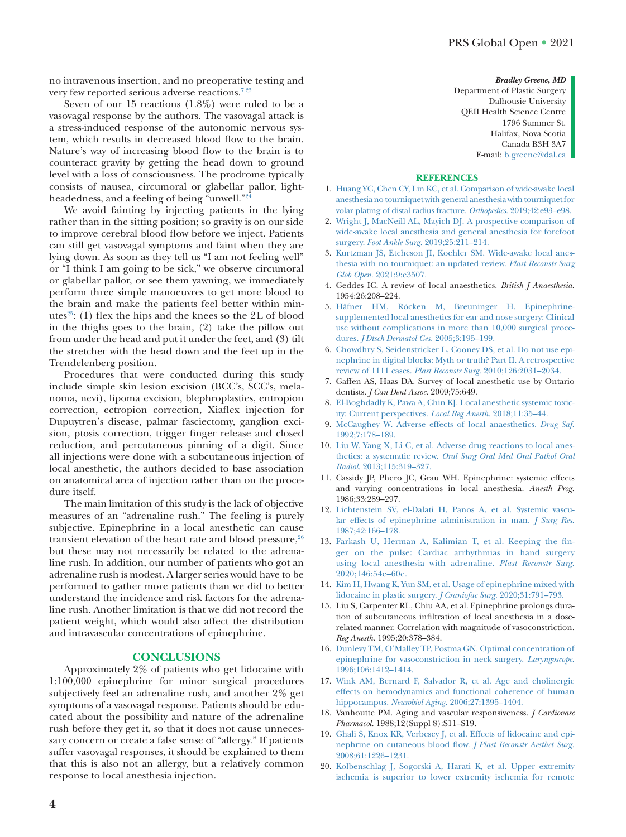no intravenous insertion, and no preoperative testing and very few reported serious adverse reactions.7,23

Seven of our 15 reactions (1.8%) were ruled to be a vasovagal response by the authors. The vasovagal attack is a stress-induced response of the autonomic nervous system, which results in decreased blood flow to the brain. Nature's way of increasing blood flow to the brain is to counteract gravity by getting the head down to ground level with a loss of consciousness. The prodrome typically consists of nausea, circumoral or glabellar pallor, lightheadedness, and a feeling of being "unwell."<sup>24</sup>

We avoid fainting by injecting patients in the lying rather than in the sitting position; so gravity is on our side to improve cerebral blood flow before we inject. Patients can still get vasovagal symptoms and faint when they are lying down. As soon as they tell us "I am not feeling well" or "I think I am going to be sick," we observe circumoral or glabellar pallor, or see them yawning, we immediately perform three simple manoeuvres to get more blood to the brain and make the patients feel better within minutes<sup>25</sup>: (1) flex the hips and the knees so the  $2L$  of blood in the thighs goes to the brain, (2) take the pillow out from under the head and put it under the feet, and (3) tilt the stretcher with the head down and the feet up in the Trendelenberg position.

Procedures that were conducted during this study include simple skin lesion excision (BCC's, SCC's, melanoma, nevi), lipoma excision, blephroplasties, entropion correction, ectropion correction, Xiaflex injection for Dupuytren's disease, palmar fasciectomy, ganglion excision, ptosis correction, trigger finger release and closed reduction, and percutaneous pinning of a digit. Since all injections were done with a subcutaneous injection of local anesthetic, the authors decided to base association on anatomical area of injection rather than on the procedure itself.

The main limitation of this study is the lack of objective measures of an "adrenaline rush." The feeling is purely subjective. Epinephrine in a local anesthetic can cause transient elevation of the heart rate and blood pressure,<sup>26</sup> but these may not necessarily be related to the adrenaline rush. In addition, our number of patients who got an adrenaline rush is modest. A larger series would have to be performed to gather more patients than we did to better understand the incidence and risk factors for the adrenaline rush. Another limitation is that we did not record the patient weight, which would also affect the distribution and intravascular concentrations of epinephrine.

# **CONCLUSIONS**

Approximately 2% of patients who get lidocaine with 1:100,000 epinephrine for minor surgical procedures subjectively feel an adrenaline rush, and another 2% get symptoms of a vasovagal response. Patients should be educated about the possibility and nature of the adrenaline rush before they get it, so that it does not cause unnecessary concern or create a false sense of "allergy." If patients suffer vasovagal responses, it should be explained to them that this is also not an allergy, but a relatively common response to local anesthesia injection.

*Bradley Greene, MD*  Department of Plastic Surgery Dalhousie University QEII Health Science Centre 1796 Summer St. Halifax, Nova Scotia Canada B3H 3A7 E-mail: [b.greene@dal.ca](mailto:b.greene@dal.ca?subject=)

#### **REFERENCES**

- 1. [Huang YC, Chen CY, Lin KC, et al. Comparison of wide-awake local](https://doi.org/10.3928/01477447-20181206-01)  [anesthesia no tourniquet with general anesthesia with tourniquet for](https://doi.org/10.3928/01477447-20181206-01) [volar plating of distal radius fracture.](https://doi.org/10.3928/01477447-20181206-01) *Orthopedics.* 2019;42:e93–e98.
- 2. [Wright J, MacNeill AL, Mayich DJ. A prospective comparison of](https://doi.org/10.1016/j.fas.2017.10.015) [wide-awake local anesthesia and general anesthesia for forefoot](https://doi.org/10.1016/j.fas.2017.10.015)  surgery. *Foot Ankle Surg.* [2019;25:211–214.](https://doi.org/10.1016/j.fas.2017.10.015)
- 3. [Kurtzman JS, Etcheson JI, Koehler SM. Wide-awake local anes](https://doi.org/10.1097/GOX.0000000000003507)[thesia with no tourniquet: an updated review.](https://doi.org/10.1097/GOX.0000000000003507) *Plast Reconstr Surg Glob Open.* [2021;9:e3507.](https://doi.org/10.1097/GOX.0000000000003507)
- 4. Geddes IC. A review of local anaesthetics. *British J Anaesthesia.* 1954:26:208–224.
- 5. [Häfner HM, Röcken M, Breuninger H. Epinephrine](https://doi.org/10.1111/j.1610-0378.2005.04758.x)[supplemented local anesthetics for ear and nose surgery: Clinical](https://doi.org/10.1111/j.1610-0378.2005.04758.x) [use without complications in more than 10,000 surgical proce](https://doi.org/10.1111/j.1610-0378.2005.04758.x)dures. *[J Dtsch Dermatol Ges.](https://doi.org/10.1111/j.1610-0378.2005.04758.x)* 2005;3:195–199.
- 6. [Chowdhry S, Seidenstricker L, Cooney DS, et al. Do not use epi](https://doi.org/10.1097/PRS.0b013e3181f44486)[nephrine in digital blocks: Myth or truth? Part II. A retrospective](https://doi.org/10.1097/PRS.0b013e3181f44486) review of 1111 cases. *Plast Reconstr Surg.* [2010;126:2031–2034.](https://doi.org/10.1097/PRS.0b013e3181f44486)
- 7. Gaffen AS, Haas DA. Survey of local anesthetic use by Ontario dentists. *J Can Dent Assoc.* 2009;75:649.
- 8. [El-Boghdadly K, Pawa A, Chin KJ. Local anesthetic systemic toxic](https://doi.org/10.2147/LRA.S154512)[ity: Current perspectives.](https://doi.org/10.2147/LRA.S154512) *Local Reg Anesth.* 2018;11:35–44.
- 9. [McCaughey W. Adverse effects of local anaesthetics.](https://doi.org/10.2165/00002018-199207030-00003) *Drug Saf.* [1992;7:178–189.](https://doi.org/10.2165/00002018-199207030-00003)
- 10. [Liu W, Yang X, Li C, et al. Adverse drug reactions to local anes](https://doi.org/10.1016/j.oooo.2012.04.024)thetics: a systematic review. *[Oral Surg Oral Med Oral Pathol Oral](https://doi.org/10.1016/j.oooo.2012.04.024) Radiol.* [2013;115:319–327.](https://doi.org/10.1016/j.oooo.2012.04.024)
- 11. Cassidy JP, Phero JC, Grau WH. Epinephrine: systemic effects and varying concentrations in local anesthesia. *Anesth Prog.* 1986;33:289–297.
- 12. [Lichtenstein SV, el-Dalati H, Panos A, et al. Systemic vascu](https://doi.org/10.1016/0022-4804(87)90115-6)[lar effects of epinephrine administration in man.](https://doi.org/10.1016/0022-4804(87)90115-6) *J Surg Res.* [1987;42:166–178.](https://doi.org/10.1016/0022-4804(87)90115-6)
- 13. [Farkash U, Herman A, Kalimian T, et al. Keeping the fin](https://doi.org/10.1097/PRS.0000000000006902)[ger on the pulse: Cardiac arrhythmias in hand surgery](https://doi.org/10.1097/PRS.0000000000006902)  [using local anesthesia with adrenaline.](https://doi.org/10.1097/PRS.0000000000006902) *Plast Reconstr Surg.* [2020;146:54e–60e.](https://doi.org/10.1097/PRS.0000000000006902)
- 14. [Kim H, Hwang K, Yun SM, et al. Usage of epinephrine mixed with](https://doi.org/10.1097/SCS.0000000000006156) [lidocaine in plastic surgery.](https://doi.org/10.1097/SCS.0000000000006156) *J Craniofac Surg.* 2020;31:791–793.
- 15. Liu S, Carpenter RL, Chiu AA, et al. Epinephrine prolongs duration of subcutaneous infiltration of local anesthesia in a doserelated manner. Correlation with magnitude of vasoconstriction. *Reg Anesth.* 1995;20:378–384.
- 16. [Dunlevy TM, O'Malley TP, Postma GN. Optimal concentration of](https://doi.org/10.1097/00005537-199611000-00020)  [epinephrine for vasoconstriction in neck surgery.](https://doi.org/10.1097/00005537-199611000-00020) *Laryngoscope.* [1996;106:1412–1414.](https://doi.org/10.1097/00005537-199611000-00020)
- 17. [Wink AM, Bernard F, Salvador R, et al. Age and cholinergic](https://doi.org/10.1016/j.neurobiolaging.2005.08.011) [effects on hemodynamics and functional coherence of human](https://doi.org/10.1016/j.neurobiolaging.2005.08.011)  hippocampus. *Neurobiol Aging.* [2006;27:1395–1404.](https://doi.org/10.1016/j.neurobiolaging.2005.08.011)
- 18. Vanhoutte PM. Aging and vascular responsiveness. *J Cardiovasc Pharmacol.* 1988;12(Suppl 8):S11–S19.
- 19. [Ghali S, Knox KR, Verbesey J, et al. Effects of lidocaine and epi](https://doi.org/10.1016/j.bjps.2007.09.011)[nephrine on cutaneous blood flow.](https://doi.org/10.1016/j.bjps.2007.09.011) *J Plast Reconstr Aesthet Surg.* [2008;61:1226–1231.](https://doi.org/10.1016/j.bjps.2007.09.011)
- 20. [Kolbenschlag J, Sogorski A, Harati K, et al. Upper extremity](https://doi.org/10.1002/micr.22336) [ischemia is superior to lower extremity ischemia for remote](https://doi.org/10.1002/micr.22336)